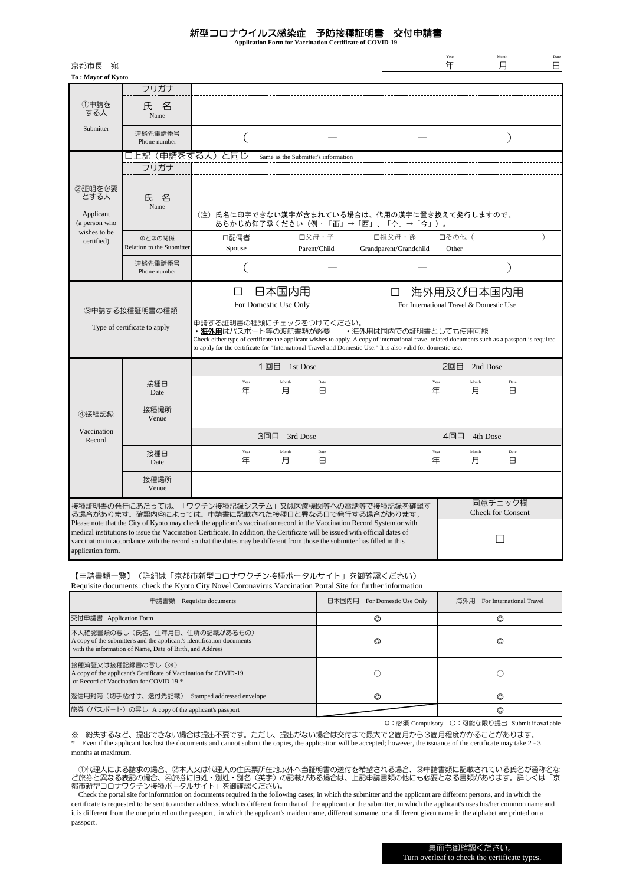## 新型コロナウイルス感染症 予防接種証明書 交付申請書

**Application Form for Vaccination Certificate of COVID-19**

| 京都市長 宛                                        |                                                                                                                                                                                                                                                                                                                                                                                       |                                                                                                                                                                                                                                                                                                                                                                    |                                     | Year<br>Month<br>年<br>月                               | Date<br>8     |
|-----------------------------------------------|---------------------------------------------------------------------------------------------------------------------------------------------------------------------------------------------------------------------------------------------------------------------------------------------------------------------------------------------------------------------------------------|--------------------------------------------------------------------------------------------------------------------------------------------------------------------------------------------------------------------------------------------------------------------------------------------------------------------------------------------------------------------|-------------------------------------|-------------------------------------------------------|---------------|
| To: Mayor of Kyoto                            |                                                                                                                                                                                                                                                                                                                                                                                       |                                                                                                                                                                                                                                                                                                                                                                    |                                     |                                                       |               |
|                                               | フリガナ                                                                                                                                                                                                                                                                                                                                                                                  |                                                                                                                                                                                                                                                                                                                                                                    |                                     |                                                       |               |
| ①申請を<br>する人                                   | 名<br>氏<br>Name                                                                                                                                                                                                                                                                                                                                                                        |                                                                                                                                                                                                                                                                                                                                                                    |                                     |                                                       |               |
| Submitter                                     | 連絡先電話番号<br>Phone number                                                                                                                                                                                                                                                                                                                                                               | (                                                                                                                                                                                                                                                                                                                                                                  |                                     |                                                       | $\mathcal{E}$ |
|                                               | フリガナ                                                                                                                                                                                                                                                                                                                                                                                  | 上記(申請をする人)と同じ<br>Same as the Submitter's information                                                                                                                                                                                                                                                                                                               |                                     |                                                       |               |
| 2証明を必要<br>とする人<br>Applicant                   | 名<br>氏<br>Name                                                                                                                                                                                                                                                                                                                                                                        | (注) 氏名に印字できない漢字が含まれている場合は、代用の漢字に置き換えて発行しますので、                                                                                                                                                                                                                                                                                                                      |                                     |                                                       |               |
| (a person who<br>wishes to be                 |                                                                                                                                                                                                                                                                                                                                                                                       | あらかじめ御了承ください(例:「而」→「西」、「今」→「今」)。                                                                                                                                                                                                                                                                                                                                   |                                     |                                                       |               |
| certified)                                    | ◎と◎の関係<br>Relation to the Submitter                                                                                                                                                                                                                                                                                                                                                   | ロ父母・子<br>口配偶者<br>Spouse<br>Parent/Child                                                                                                                                                                                                                                                                                                                            | 口祖父母・孫<br>Grandparent/Grandchild    | 口その他 (<br>Other                                       | $\lambda$     |
|                                               | 連絡先電話番号<br>Phone number                                                                                                                                                                                                                                                                                                                                                               |                                                                                                                                                                                                                                                                                                                                                                    |                                     |                                                       | ⟩             |
| 3申請する接種証明書の種類<br>Type of certificate to apply |                                                                                                                                                                                                                                                                                                                                                                                       | 日本国内用<br>П<br>For Domestic Use Only<br>申請する証明書の種類にチェックをつけてください。<br>・ <b>海外用</b> はパスポート等の渡航書類が必要<br>Check either type of certificate the applicant wishes to apply. A copy of international travel related documents such as a passport is required<br>to apply for the certificate for "International Travel and Domestic Use." It is also valid for domestic use. | □<br>• 海外用は国内での証明書としても使用可能          | 海外用及び日本国内用<br>For International Travel & Domestic Use |               |
|                                               |                                                                                                                                                                                                                                                                                                                                                                                       | 1回目 1st Dose                                                                                                                                                                                                                                                                                                                                                       |                                     | 2回目<br>2nd Dose                                       |               |
| ④接種記録<br>Vaccination<br>Record                | 接種日<br>Date                                                                                                                                                                                                                                                                                                                                                                           | Date<br>Year<br>Month<br>年<br>月<br>Β                                                                                                                                                                                                                                                                                                                               | Year<br>年                           | Month<br>月                                            | Date<br>Θ     |
|                                               | 接種場所<br>Venue                                                                                                                                                                                                                                                                                                                                                                         |                                                                                                                                                                                                                                                                                                                                                                    |                                     |                                                       |               |
|                                               |                                                                                                                                                                                                                                                                                                                                                                                       | 3回目 3rd Dose                                                                                                                                                                                                                                                                                                                                                       | 4回目<br>4th Dose                     |                                                       |               |
|                                               | 接種日<br>Date                                                                                                                                                                                                                                                                                                                                                                           | Month<br>Year<br>Date<br>年<br>月<br>8                                                                                                                                                                                                                                                                                                                               | Year<br>年                           | Month<br>月                                            | Date<br>Θ     |
|                                               | 接種場所<br>Venue                                                                                                                                                                                                                                                                                                                                                                         |                                                                                                                                                                                                                                                                                                                                                                    |                                     |                                                       |               |
|                                               | 接種証明書の発行にあたっては、「ワクチン接種記録システム」又は医療機関等への電話等で接種記録を確認す<br>る場合があります。確認内容によっては、申請書に記載された接種日と異なる日で発行する場合があります。                                                                                                                                                                                                                                                                               |                                                                                                                                                                                                                                                                                                                                                                    | 同意チェック欄<br><b>Check for Consent</b> |                                                       |               |
| application form.                             | Please note that the City of Kyoto may check the applicant's vaccination record in the Vaccination Record System or with<br>medical institutions to issue the Vaccination Certificate. In addition, the Certificate will be issued with official dates of<br>vaccination in accordance with the record so that the dates may be different from those the submitter has filled in this |                                                                                                                                                                                                                                                                                                                                                                    |                                     |                                                       |               |

【申請書類一覧】(詳細は「京都市新型コロナワクチン接種ポータルサイト」を御確認ください) Requisite documents: check the Kyoto City Novel Coronavirus Vaccination Portal Site for further information

| 申請書類<br>Requisite documents                                                                                                                                         | 日本国内用<br>For Domestic Use Only | 海外用<br>For International Travel |
|---------------------------------------------------------------------------------------------------------------------------------------------------------------------|--------------------------------|---------------------------------|
| 交付申請書 Application Form                                                                                                                                              | ◎                              | ⊚                               |
| 本人確認書類の写し(氏名、生年月日、住所の記載があるもの)<br>A copy of the submitter's and the applicant's identification documents<br>with the information of Name, Date of Birth, and Address | $\circledcirc$                 | O                               |
| 接種済証又は接種記録書の写し(※)<br>A copy of the applicant's Certificate of Vaccination for COVID-19<br>or Record of Vaccination for COVID-19 *                                   |                                |                                 |
| 返信用封筒(切手貼付け、送付先記載)<br>Stamped addressed envelope                                                                                                                    | ◎                              | ⊚                               |
| 旅券 (パスポート) の写し A copy of the applicant's passport                                                                                                                   |                                | O                               |

◎:必須 Compulsory 〇:可能な限り提出 Submit if available

※ 紛失するなど、提出できない場合は提出不要です。ただし、提出がない場合は交付まで最大で2箇月から3箇月程度かかることがあります。 \* Even if the applicant has lost the documents and cannot submit the copies, the application will be accepted; however, the issuance of the certificate may take 2 - 3 months at maximum.

 ①代理人による請求の場合、②本人又は代理人の住民票所在地以外へ当証明書の送付を希望される場合、③申請書類に記載されている氏名が通称名な ど旅券と異なる表記の場合、④旅券に旧姓・別姓・別名(英字)の記載がある場合は、上記申請書類の他にも必要となる書類があります。詳しくは「京 都市新型コロナワクチン接種ポータルサイト」を御確認ください。

 Check the portal site for information on documents required in the following cases; in which the submitter and the applicant are different persons, and in which the certificate is requested to be sent to another address, which is different from that of the applicant or the submitter, in which the applicant's uses his/her common name and it is different from the one printed on the passport, in which the applicant's maiden name, different surname, or a different given name in the alphabet are printed on a passport.